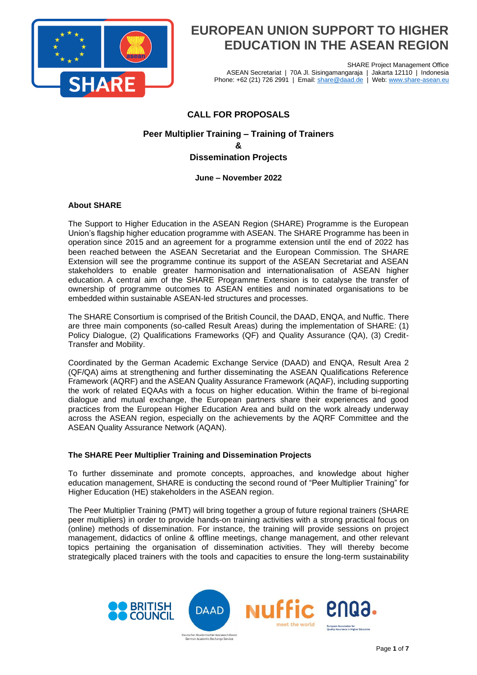

SHARE Project Management Office ASEAN Secretariat | 70A Jl. Sisingamangaraja | Jakarta 12110 | Indonesia Phone: +62 (21) 726 2991 | Email: [share@daad.de](mailto:share@daad.de) | Web: [www.share-asean.eu](http://www.share-asean.eu/)

### **CALL FOR PROPOSALS**

### **Peer Multiplier Training – Training of Trainers & Dissemination Projects**

#### **June – November 2022**

#### **About SHARE**

The Support to Higher Education in the ASEAN Region (SHARE) Programme is the European Union's flagship higher education programme with ASEAN. The SHARE Programme has been in operation since 2015 and an agreement for a programme extension until the end of 2022 has been reached between the ASEAN Secretariat and the European Commission. The SHARE Extension will see the programme continue its support of the ASEAN Secretariat and ASEAN stakeholders to enable greater harmonisation and internationalisation of ASEAN higher education. A central aim of the SHARE Programme Extension is to catalyse the transfer of ownership of programme outcomes to ASEAN entities and nominated organisations to be embedded within sustainable ASEAN-led structures and processes.

The SHARE Consortium is comprised of the British Council, the DAAD, ENQA, and Nuffic. There are three main components (so-called Result Areas) during the implementation of SHARE: (1) Policy Dialogue, (2) Qualifications Frameworks (QF) and Quality Assurance (QA), (3) Credit-Transfer and Mobility.

Coordinated by the German Academic Exchange Service (DAAD) and ENQA, Result Area 2 (QF/QA) aims at strengthening and further disseminating the ASEAN Qualifications Reference Framework (AQRF) and the ASEAN Quality Assurance Framework (AQAF), including supporting the work of related EQAAs with a focus on higher education. Within the frame of bi-regional dialogue and mutual exchange, the European partners share their experiences and good practices from the European Higher Education Area and build on the work already underway across the ASEAN region, especially on the achievements by the AQRF Committee and the ASEAN Quality Assurance Network (AQAN).

#### **The SHARE Peer Multiplier Training and Dissemination Projects**

To further disseminate and promote concepts, approaches, and knowledge about higher education management, SHARE is conducting the second round of "Peer Multiplier Training" for Higher Education (HE) stakeholders in the ASEAN region.

The Peer Multiplier Training (PMT) will bring together a group of future regional trainers (SHARE peer multipliers) in order to provide hands-on training activities with a strong practical focus on (online) methods of dissemination. For instance, the training will provide sessions on project management, didactics of online & offline meetings, change management, and other relevant topics pertaining the organisation of dissemination activities. They will thereby become strategically placed trainers with the tools and capacities to ensure the long-term sustainability

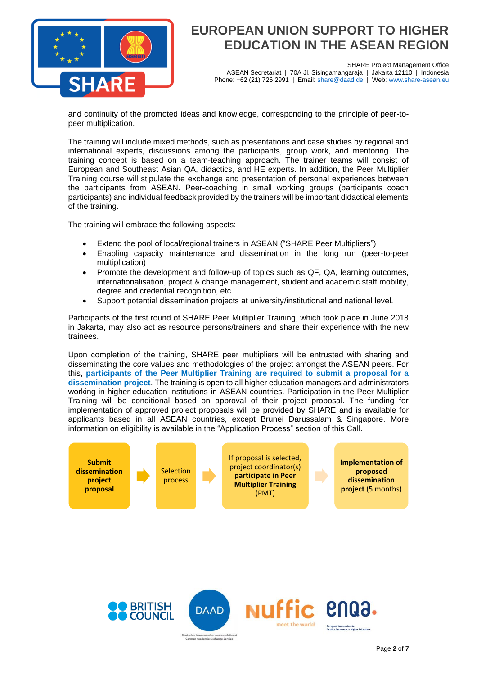

SHARE Project Management Office ASEAN Secretariat | 70A Jl. Sisingamangaraja | Jakarta 12110 | Indonesia Phone: +62 (21) 726 2991 | Email: [share@daad.de](mailto:share@daad.de) | Web: [www.share-asean.eu](http://www.share-asean.eu/)

and continuity of the promoted ideas and knowledge, corresponding to the principle of peer-topeer multiplication.

The training will include mixed methods, such as presentations and case studies by regional and international experts, discussions among the participants, group work, and mentoring. The training concept is based on a team-teaching approach. The trainer teams will consist of European and Southeast Asian QA, didactics, and HE experts. In addition, the Peer Multiplier Training course will stipulate the exchange and presentation of personal experiences between the participants from ASEAN. Peer-coaching in small working groups (participants coach participants) and individual feedback provided by the trainers will be important didactical elements of the training.

The training will embrace the following aspects:

- Extend the pool of local/regional trainers in ASEAN ("SHARE Peer Multipliers")
- Enabling capacity maintenance and dissemination in the long run (peer-to-peer multiplication)
- Promote the development and follow-up of topics such as QF, QA, learning outcomes, internationalisation, project & change management, student and academic staff mobility, degree and credential recognition, etc.
- Support potential dissemination projects at university/institutional and national level.

Participants of the first round of SHARE Peer Multiplier Training, which took place in June 2018 in Jakarta, may also act as resource persons/trainers and share their experience with the new trainees.

Upon completion of the training, SHARE peer multipliers will be entrusted with sharing and disseminating the core values and methodologies of the project amongst the ASEAN peers. For this, **participants of the Peer Multiplier Training are required to submit a proposal for a dissemination project**. The training is open to all higher education managers and administrators working in higher education institutions in ASEAN countries. Participation in the Peer Multiplier Training will be conditional based on approval of their project proposal. The funding for implementation of approved project proposals will be provided by SHARE and is available for applicants based in all ASEAN countries, except Brunei Darussalam & Singapore. More information on eligibility is available in the "Application Process" section of this Call.



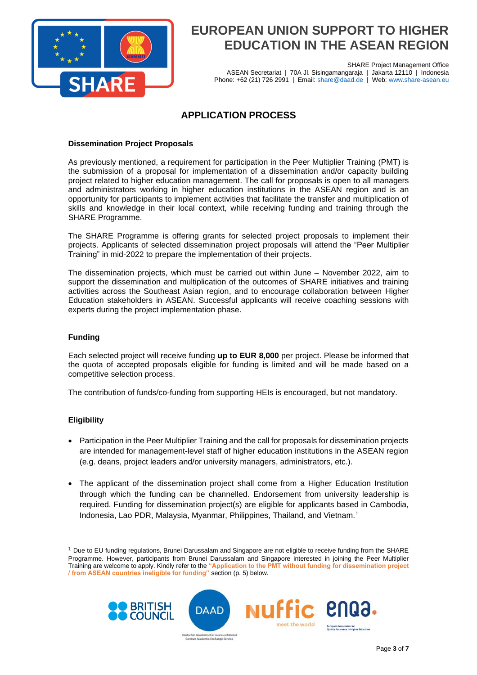

SHARE Project Management Office ASEAN Secretariat | 70A Jl. Sisingamangaraja | Jakarta 12110 | Indonesia Phone: +62 (21) 726 2991 | Email: [share@daad.de](mailto:share@daad.de) | Web: [www.share-asean.eu](http://www.share-asean.eu/)

### **APPLICATION PROCESS**

#### **Dissemination Project Proposals**

As previously mentioned, a requirement for participation in the Peer Multiplier Training (PMT) is the submission of a proposal for implementation of a dissemination and/or capacity building project related to higher education management. The call for proposals is open to all managers and administrators working in higher education institutions in the ASEAN region and is an opportunity for participants to implement activities that facilitate the transfer and multiplication of skills and knowledge in their local context, while receiving funding and training through the SHARE Programme.

The SHARE Programme is offering grants for selected project proposals to implement their projects. Applicants of selected dissemination project proposals will attend the "Peer Multiplier Training" in mid-2022 to prepare the implementation of their projects.

The dissemination projects, which must be carried out within June – November 2022, aim to support the dissemination and multiplication of the outcomes of SHARE initiatives and training activities across the Southeast Asian region, and to encourage collaboration between Higher Education stakeholders in ASEAN. Successful applicants will receive coaching sessions with experts during the project implementation phase.

#### **Funding**

Each selected project will receive funding **up to EUR 8,000** per project. Please be informed that the quota of accepted proposals eligible for funding is limited and will be made based on a competitive selection process.

The contribution of funds/co-funding from supporting HEIs is encouraged, but not mandatory.

#### **Eligibility**

- Participation in the Peer Multiplier Training and the call for proposals for dissemination projects are intended for management-level staff of higher education institutions in the ASEAN region (e.g. deans, project leaders and/or university managers, administrators, etc.).
- The applicant of the dissemination project shall come from a Higher Education Institution through which the funding can be channelled. Endorsement from university leadership is required. Funding for dissemination project(s) are eligible for applicants based in Cambodia, Indonesia, Lao PDR, Malaysia, Myanmar, Philippines, Thailand, and Vietnam.<sup>1</sup>

<sup>1</sup> Due to EU funding regulations, Brunei Darussalam and Singapore are not eligible to receive funding from the SHARE Programme. However, participants from Brunei Darussalam and Singapore interested in joining the Peer Multiplier Training are welcome to apply. Kindly refer to the **"Application to the PMT without funding for dissemination project / from ASEAN countries ineligible for funding"** section (p. 5) below.

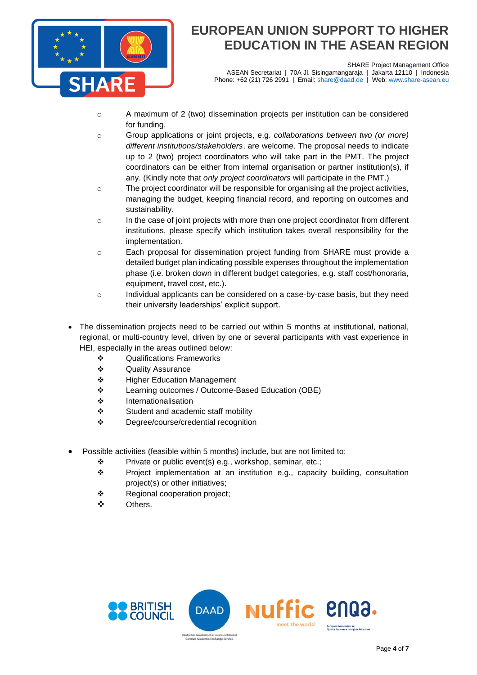

SHARE Project Management Office<br>garaja | Jakarta 12110 | Indonesia ASEAN Secretariat | 70A Jl. Sisingamangaraja | Phone: +62 (21) 726 2991 | Email: [share@daad.de](mailto:share@daad.de) | Web: [www.share-asean.eu](http://www.share-asean.eu/)

- $\circ$  A maximum of 2 (two) dissemination projects per institution can be considered for funding.
- o Group applications or joint projects, e.g. *collaborations between two (or more) different institutions/stakeholders*, are welcome. The proposal needs to indicate up to 2 (two) project coordinators who will take part in the PMT. The project coordinators can be either from internal organisation or partner institution(s), if any. (Kindly note that *only project coordinators* will participate in the PMT.)
- o The project coordinator will be responsible for organising all the project activities, managing the budget, keeping financial record, and reporting on outcomes and sustainability.
- $\circ$  In the case of joint projects with more than one project coordinator from different institutions, please specify which institution takes overall responsibility for the implementation.
- o Each proposal for dissemination project funding from SHARE must provide a detailed budget plan indicating possible expenses throughout the implementation phase (i.e. broken down in different budget categories, e.g. staff cost/honoraria, equipment, travel cost, etc.).
- o Individual applicants can be considered on a case-by-case basis, but they need their university leaderships' explicit support.
- The dissemination projects need to be carried out within 5 months at institutional, national, regional, or multi-country level, driven by one or several participants with vast experience in HEI, especially in the areas outlined below:
	- ❖ Qualifications Frameworks
	- ❖ Quality Assurance
	- ❖ Higher Education Management
	- ❖ Learning outcomes / Outcome-Based Education (OBE)
	- ❖ Internationalisation
	- ❖ Student and academic staff mobility
	- ❖ Degree/course/credential recognition
- Possible activities (feasible within 5 months) include, but are not limited to:
	- ❖ Private or public event(s) e.g., workshop, seminar, etc.;
	- ❖ Project implementation at an institution e.g., capacity building, consultation project(s) or other initiatives;
	- ❖ Regional cooperation project;
	- ❖ Others.

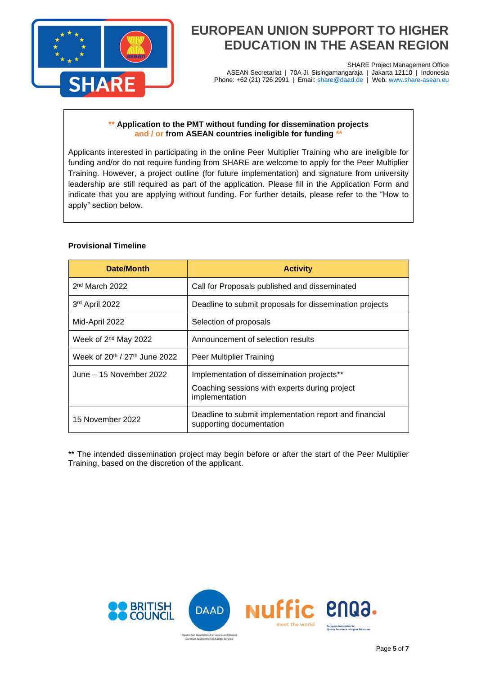

SHARE Project Management Office ASEAN Secretariat | 70A Jl. Sisingamangaraja | Jakarta 12110 | Indonesia Phone: +62 (21) 726 2991 | Email: <u>share@daad.de</u> | Web: [www.share-asean.eu](http://www.share-asean.eu/)

#### **\*\* Application to the PMT without funding for dissemination projects and / or from ASEAN countries ineligible for funding \*\***

Applicants interested in participating in the online Peer Multiplier Training who are ineligible for funding and/or do not require funding from SHARE are welcome to apply for the Peer Multiplier Training. However, a project outline (for future implementation) and signature from university leadership are still required as part of the application. Please fill in the Application Form and indicate that you are applying without funding. For further details, please refer to the "How to apply" section below.

#### **Provisional Timeline**

| Date/Month                       | <b>Activity</b>                                                                                               |
|----------------------------------|---------------------------------------------------------------------------------------------------------------|
| $2nd$ March 2022                 | Call for Proposals published and disseminated                                                                 |
| 3rd April 2022                   | Deadline to submit proposals for dissemination projects                                                       |
| Mid-April 2022                   | Selection of proposals                                                                                        |
| Week of 2 <sup>nd</sup> May 2022 | Announcement of selection results                                                                             |
| Week of 20th / 27th June 2022    | Peer Multiplier Training                                                                                      |
| June - 15 November 2022          | Implementation of dissemination projects**<br>Coaching sessions with experts during project<br>implementation |
| 15 November 2022                 | Deadline to submit implementation report and financial<br>supporting documentation                            |

\*\* The intended dissemination project may begin before or after the start of the Peer Multiplier Training, based on the discretion of the applicant.

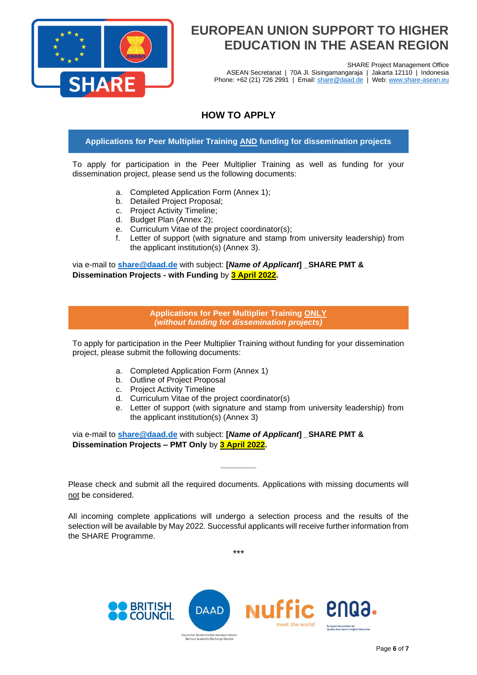

SHARE Project Management Office

ASEAN Secretariat | 70A Jl. Sisingamangaraja | Jakarta 12110 | Indonesia Phone: +62 (21) 726 2991 | Email: [share@daad.de](mailto:share@daad.de) | Web: [www.share-asean.eu](http://www.share-asean.eu/)

### **HOW TO APPLY**

### **Applications for Peer Multiplier Training AND funding for dissemination projects**

To apply for participation in the Peer Multiplier Training as well as funding for your dissemination project, please send us the following documents:

- a. Completed Application Form (Annex 1);
- b. Detailed Project Proposal;
- c. Project Activity Timeline;
- d. Budget Plan (Annex 2);
- e. Curriculum Vitae of the project coordinator(s);
- f. Letter of support (with signature and stamp from university leadership) from the applicant institution(s) (Annex 3).

via e-mail to **[share@daad.de](mailto:share@daad.de)** with subject: **[***Name of Applicant***] \_SHARE PMT & Dissemination Projects - with Funding** by **3 April 2022.**

> **Applications for Peer Multiplier Training ONLY** *(without funding for dissemination projects)*

To apply for participation in the Peer Multiplier Training without funding for your dissemination project, please submit the following documents:

- a. Completed Application Form (Annex 1)
- b. Outline of Project Proposal
- c. Project Activity Timeline
- d. Curriculum Vitae of the project coordinator(s)
- e. Letter of support (with signature and stamp from university leadership) from the applicant institution(s) (Annex 3)

via e-mail to **[share@daad.de](mailto:share@daad.de)** with subject: **[***Name of Applicant***]** *\_***SHARE PMT & Dissemination Projects – PMT Only** by **3 April 2022.**

Please check and submit all the required documents. Applications with missing documents will not be considered.

**\_\_\_\_\_\_\_\_**

All incoming complete applications will undergo a selection process and the results of the selection will be available by May 2022. Successful applicants will receive further information from the SHARE Programme.

\*\*\*